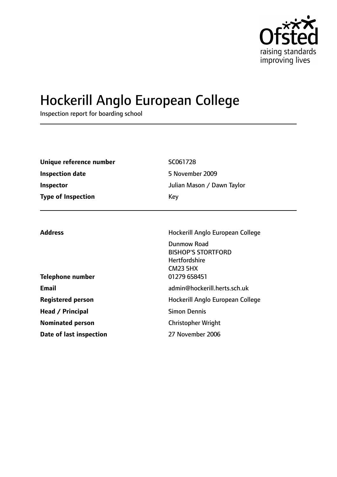

# Hockerill Anglo European College

Inspection report for boarding school

| Unique reference number   | SC061728                   |
|---------------------------|----------------------------|
| Inspection date           | 5 November 2009            |
| Inspector                 | Julian Mason / Dawn Taylor |
| <b>Type of Inspection</b> | Key                        |

| <b>Address</b>           | Hockerill Anglo European College                                                    |  |
|--------------------------|-------------------------------------------------------------------------------------|--|
|                          | Dunmow Road<br><b>BISHOP'S STORTFORD</b><br><b>Hertfordshire</b><br><b>CM23 5HX</b> |  |
| <b>Telephone number</b>  | 01279 658451                                                                        |  |
| <b>Email</b>             | admin@hockerill.herts.sch.uk                                                        |  |
| <b>Registered person</b> | Hockerill Anglo European College                                                    |  |
| Head / Principal         | <b>Simon Dennis</b>                                                                 |  |
| <b>Nominated person</b>  | <b>Christopher Wright</b>                                                           |  |
| Date of last inspection  | 27 November 2006                                                                    |  |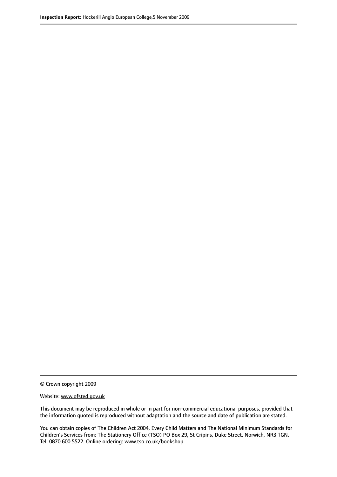© Crown copyright 2009

Website: www.ofsted.gov.uk

This document may be reproduced in whole or in part for non-commercial educational purposes, provided that the information quoted is reproduced without adaptation and the source and date of publication are stated.

You can obtain copies of The Children Act 2004, Every Child Matters and The National Minimum Standards for Children's Services from: The Stationery Office (TSO) PO Box 29, St Cripins, Duke Street, Norwich, NR3 1GN. Tel: 0870 600 5522. Online ordering: www.tso.co.uk/bookshop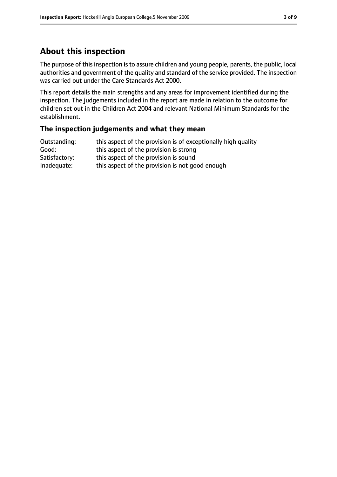# **About this inspection**

The purpose of this inspection is to assure children and young people, parents, the public, local authorities and government of the quality and standard of the service provided. The inspection was carried out under the Care Standards Act 2000.

This report details the main strengths and any areas for improvement identified during the inspection. The judgements included in the report are made in relation to the outcome for children set out in the Children Act 2004 and relevant National Minimum Standards for the establishment.

#### **The inspection judgements and what they mean**

| Outstanding:  | this aspect of the provision is of exceptionally high quality |
|---------------|---------------------------------------------------------------|
| Good:         | this aspect of the provision is strong                        |
| Satisfactory: | this aspect of the provision is sound                         |
| Inadequate:   | this aspect of the provision is not good enough               |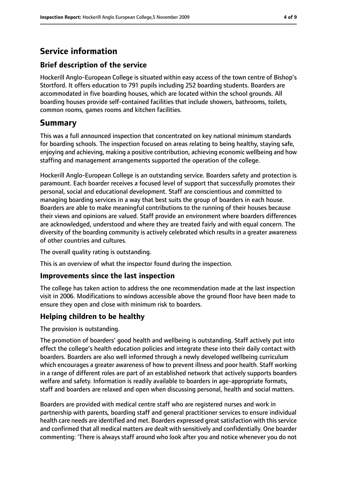# **Service information**

## **Brief description of the service**

Hockerill Anglo-European College is situated within easy access of the town centre of Bishop's Stortford. It offers education to 791 pupils including 252 boarding students. Boarders are accommodated in five boarding houses, which are located within the school grounds. All boarding houses provide self-contained facilities that include showers, bathrooms, toilets, common rooms, games rooms and kitchen facilities.

# **Summary**

This was a full announced inspection that concentrated on key national minimum standards for boarding schools. The inspection focused on areas relating to being healthy, staying safe, enjoying and achieving, making a positive contribution, achieving economic wellbeing and how staffing and management arrangements supported the operation of the college.

Hockerill Anglo-European College is an outstanding service. Boarders safety and protection is paramount. Each boarder receives a focused level of support that successfully promotes their personal, social and educational development. Staff are conscientious and committed to managing boarding services in a way that best suits the group of boarders in each house. Boarders are able to make meaningful contributions to the running of their houses because their views and opinions are valued. Staff provide an environment where boarders differences are acknowledged, understood and where they are treated fairly and with equal concern. The diversity of the boarding community is actively celebrated which results in a greater awareness of other countries and cultures.

The overall quality rating is outstanding.

This is an overview of what the inspector found during the inspection.

#### **Improvements since the last inspection**

The college has taken action to address the one recommendation made at the last inspection visit in 2006. Modifications to windows accessible above the ground floor have been made to ensure they open and close with minimum risk to boarders.

#### **Helping children to be healthy**

The provision is outstanding.

The promotion of boarders' good health and wellbeing is outstanding. Staff actively put into effect the college's health education policies and integrate these into their daily contact with boarders. Boarders are also well informed through a newly developed wellbeing curriculum which encourages a greater awareness of how to prevent illness and poor health. Staff working in a range of different roles are part of an established network that actively supports boarders welfare and safety. Information is readily available to boarders in age-appropriate formats, staff and boarders are relaxed and open when discussing personal, health and social matters.

Boarders are provided with medical centre staff who are registered nurses and work in partnership with parents, boarding staff and general practitioner services to ensure individual health care needs are identified and met. Boarders expressed great satisfaction with this service and confirmed that all medical matters are dealt with sensitively and confidentially. One boarder commenting: 'There is always staff around who look after you and notice whenever you do not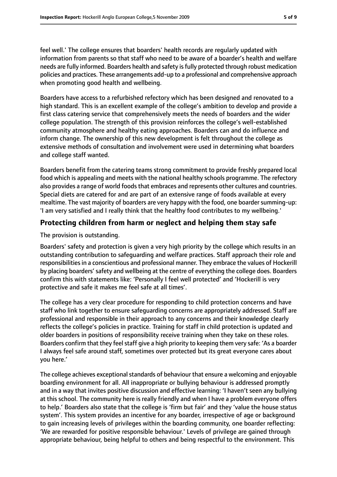feel well.' The college ensures that boarders' health records are regularly updated with information from parents so that staff who need to be aware of a boarder's health and welfare needs are fully informed. Boarders health and safety isfully protected through robust medication policies and practices. These arrangements add-up to a professional and comprehensive approach when promoting good health and wellbeing.

Boarders have access to a refurbished refectory which has been designed and renovated to a high standard. This is an excellent example of the college's ambition to develop and provide a first class catering service that comprehensively meets the needs of boarders and the wider college population. The strength of this provision reinforces the college's well-established community atmosphere and healthy eating approaches. Boarders can and do influence and inform change. The ownership of this new development is felt throughout the college as extensive methods of consultation and involvement were used in determining what boarders and college staff wanted.

Boarders benefit from the catering teams strong commitment to provide freshly prepared local food which is appealing and meets with the national healthy schools programme. The refectory also provides a range of world foods that embraces and represents other cultures and countries. Special diets are catered for and are part of an extensive range of foods available at every mealtime. The vast majority of boarders are very happy with the food, one boarder summing-up: 'I am very satisfied and I really think that the healthy food contributes to my wellbeing.'

## **Protecting children from harm or neglect and helping them stay safe**

The provision is outstanding.

Boarders' safety and protection is given a very high priority by the college which results in an outstanding contribution to safeguarding and welfare practices. Staff approach their role and responsibilities in a conscientious and professional manner. They embrace the values of Hockerill by placing boarders' safety and wellbeing at the centre of everything the college does. Boarders confirm this with statements like: 'Personally I feel well protected' and 'Hockerill is very protective and safe it makes me feel safe at all times'.

The college has a very clear procedure for responding to child protection concerns and have staff who link together to ensure safeguarding concerns are appropriately addressed. Staff are professional and responsible in their approach to any concerns and their knowledge clearly reflects the college's policies in practice. Training for staff in child protection is updated and older boarders in positions of responsibility receive training when they take on these roles. Boarders confirm that they feel staff give a high priority to keeping them very safe: 'As a boarder I always feel safe around staff, sometimes over protected but its great everyone cares about you here.'

The college achieves exceptional standards of behaviour that ensure a welcoming and enjoyable boarding environment for all. All inappropriate or bullying behaviour is addressed promptly and in a way that invites positive discussion and effective learning: 'I haven't seen any bullying at this school. The community here is really friendly and when I have a problem everyone offers to help.' Boarders also state that the college is 'firm but fair' and they 'value the house status system'. This system provides an incentive for any boarder, irrespective of age or background to gain increasing levels of privileges within the boarding community, one boarder reflecting: 'We are rewarded for positive responsible behaviour.' Levels of privilege are gained through appropriate behaviour, being helpful to others and being respectful to the environment. This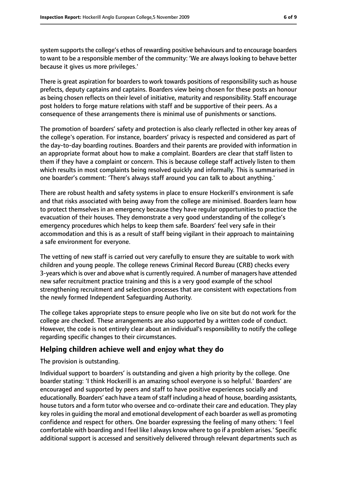system supports the college's ethos of rewarding positive behaviours and to encourage boarders to want to be a responsible member of the community: 'We are always looking to behave better because it gives us more privileges.'

There is great aspiration for boarders to work towards positions of responsibility such as house prefects, deputy captains and captains. Boarders view being chosen for these posts an honour as being chosen reflects on their level of initiative, maturity and responsibility. Staff encourage post holders to forge mature relations with staff and be supportive of their peers. As a consequence of these arrangements there is minimal use of punishments or sanctions.

The promotion of boarders' safety and protection is also clearly reflected in other key areas of the college's operation. For instance, boarders' privacy is respected and considered as part of the day-to-day boarding routines. Boarders and their parents are provided with information in an appropriate format about how to make a complaint. Boarders are clear that staff listen to them if they have a complaint or concern. This is because college staff actively listen to them which results in most complaints being resolved quickly and informally. This is summarised in one boarder's comment: 'There's always staff around you can talk to about anything.'

There are robust health and safety systems in place to ensure Hockerill's environment is safe and that risks associated with being away from the college are minimised. Boarders learn how to protect themselves in an emergency because they have regular opportunities to practice the evacuation of their houses. They demonstrate a very good understanding of the college's emergency procedures which helps to keep them safe. Boarders' feel very safe in their accommodation and this is as a result of staff being vigilant in their approach to maintaining a safe environment for everyone.

The vetting of new staff is carried out very carefully to ensure they are suitable to work with children and young people. The college renews Criminal Record Bureau (CRB) checks every 3-years which is over and above what is currently required. A number of managers have attended new safer recruitment practice training and this is a very good example of the school strengthening recruitment and selection processes that are consistent with expectations from the newly formed Independent Safeguarding Authority.

The college takes appropriate steps to ensure people who live on site but do not work for the college are checked. These arrangements are also supported by a written code of conduct. However, the code is not entirely clear about an individual's responsibility to notify the college regarding specific changes to their circumstances.

## **Helping children achieve well and enjoy what they do**

The provision is outstanding.

Individual support to boarders' is outstanding and given a high priority by the college. One boarder stating: 'I think Hockerill is an amazing school everyone is so helpful.' Boarders' are encouraged and supported by peers and staff to have positive experiences socially and educationally. Boarders' each have a team of staff including a head of house, boarding assistants, house tutors and a form tutor who oversee and co-ordinate their care and education. They play key rolesin guiding the moral and emotional development of each boarder as well as promoting confidence and respect for others. One boarder expressing the feeling of many others: 'I feel comfortable with boarding and I feel like I always know where to go if a problem arises.' Specific additional support is accessed and sensitively delivered through relevant departments such as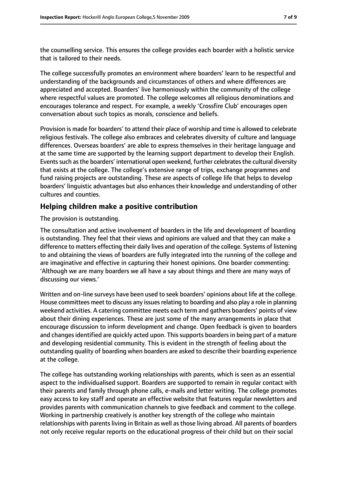the counselling service. This ensures the college provides each boarder with a holistic service that is tailored to their needs.

The college successfully promotes an environment where boarders' learn to be respectful and understanding of the backgrounds and circumstances of others and where differences are appreciated and accepted. Boarders' live harmoniously within the community of the college where respectful values are promoted. The college welcomes all religious denominations and encourages tolerance and respect. For example, a weekly 'Crossfire Club' encourages open conversation about such topics as morals, conscience and beliefs.

Provision is made for boarders' to attend their place of worship and time is allowed to celebrate religious festivals. The college also embraces and celebrates diversity of culture and language differences. Overseas boarders' are able to express themselves in their heritage language and at the same time are supported by the learning support department to develop their English. Events such as the boarders' international open weekend, further celebrates the cultural diversity that exists at the college. The college's extensive range of trips, exchange programmes and fund raising projects are outstanding. These are aspects of college life that helps to develop boarders' linguistic advantages but also enhances their knowledge and understanding of other cultures and counties.

#### **Helping children make a positive contribution**

#### The provision is outstanding.

The consultation and active involvement of boarders in the life and development of boarding is outstanding. They feel that their views and opinions are valued and that they can make a difference to matters effecting their daily lives and operation of the college. Systems of listening to and obtaining the views of boarders are fully integrated into the running of the college and are imaginative and effective in capturing their honest opinions. One boarder commenting: 'Although we are many boarders we all have a say about things and there are many ways of discussing our views.'

Written and on-line surveys have been used to seek boarders' opinions about life at the college. House committees meet to discuss any issues relating to boarding and also play a role in planning weekend activities. A catering committee meets each term and gathers boarders' points of view about their dining experiences. These are just some of the many arrangements in place that encourage discussion to inform development and change. Open feedback is given to boarders and changes identified are quickly acted upon. This supports boarders in being part of a mature and developing residential community. This is evident in the strength of feeling about the outstanding quality of boarding when boarders are asked to describe their boarding experience at the college.

The college has outstanding working relationships with parents, which is seen as an essential aspect to the individualised support. Boarders are supported to remain in regular contact with their parents and family through phone calls, e-mails and letter writing. The college promotes easy access to key staff and operate an effective website that features regular newsletters and provides parents with communication channels to give feedback and comment to the college. Working in partnership creatively is another key strength of the college who maintain relationships with parents living in Britain as well as those living abroad. All parents of boarders not only receive regular reports on the educational progress of their child but on their social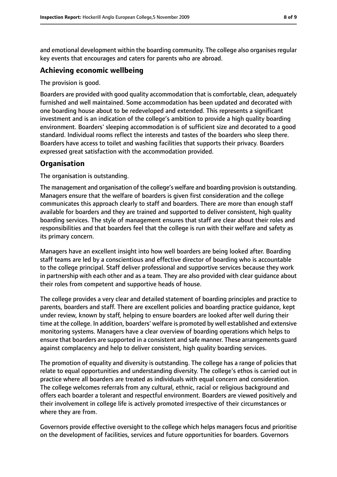and emotional development within the boarding community. The college also organises regular key events that encourages and caters for parents who are abroad.

#### **Achieving economic wellbeing**

The provision is good.

Boarders are provided with good quality accommodation that is comfortable, clean, adequately furnished and well maintained. Some accommodation has been updated and decorated with one boarding house about to be redeveloped and extended. This represents a significant investment and is an indication of the college's ambition to provide a high quality boarding environment. Boarders' sleeping accommodation is of sufficient size and decorated to a good standard. Individual rooms reflect the interests and tastes of the boarders who sleep there. Boarders have access to toilet and washing facilities that supports their privacy. Boarders expressed great satisfaction with the accommodation provided.

## **Organisation**

The organisation is outstanding.

The management and organisation of the college's welfare and boarding provision is outstanding. Managers ensure that the welfare of boarders is given first consideration and the college communicates this approach clearly to staff and boarders. There are more than enough staff available for boarders and they are trained and supported to deliver consistent, high quality boarding services. The style of management ensures that staff are clear about their roles and responsibilities and that boarders feel that the college is run with their welfare and safety as its primary concern.

Managers have an excellent insight into how well boarders are being looked after. Boarding staff teams are led by a conscientious and effective director of boarding who is accountable to the college principal. Staff deliver professional and supportive services because they work in partnership with each other and as a team. They are also provided with clear guidance about their roles from competent and supportive heads of house.

The college provides a very clear and detailed statement of boarding principles and practice to parents, boarders and staff. There are excellent policies and boarding practice guidance, kept under review, known by staff, helping to ensure boarders are looked after well during their time at the college. In addition, boarders' welfare is promoted by well established and extensive monitoring systems. Managers have a clear overview of boarding operations which helps to ensure that boarders are supported in a consistent and safe manner. These arrangements guard against complacency and help to deliver consistent, high quality boarding services.

The promotion of equality and diversity is outstanding. The college has a range of policies that relate to equal opportunities and understanding diversity. The college's ethos is carried out in practice where all boarders are treated as individuals with equal concern and consideration. The college welcomes referrals from any cultural, ethnic, racial or religious background and offers each boarder a tolerant and respectful environment. Boarders are viewed positively and their involvement in college life is actively promoted irrespective of their circumstances or where they are from.

Governors provide effective oversight to the college which helps managers focus and prioritise on the development of facilities, services and future opportunities for boarders. Governors